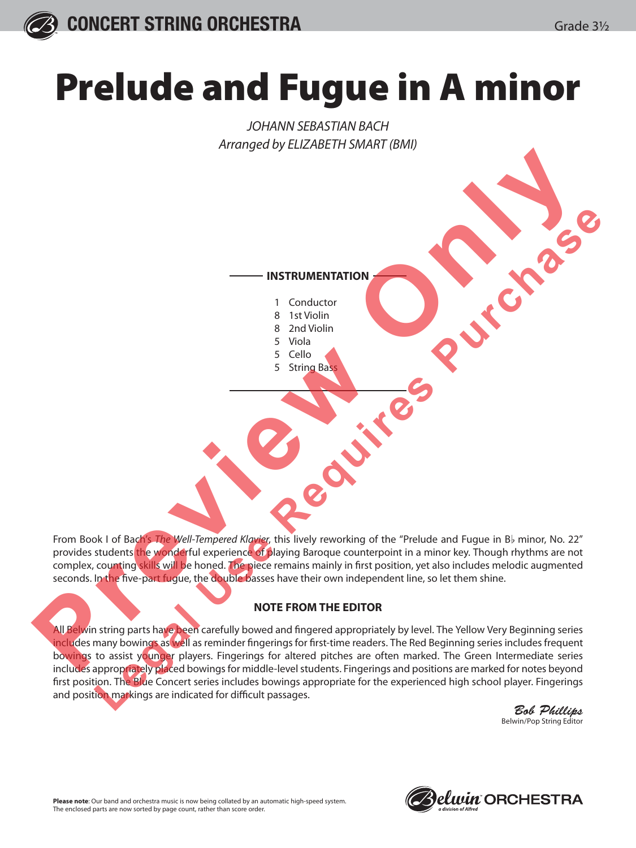**CONCERT STRING ORCHESTRA**

## Prelude and Fugue in A minor



- 1 Conductor
- 8 1st Violin
- 8 2nd Violin
- 5 Viola
- 5 Cello
- 5 String Bass

From Book I of Bach's *The Well-Tempered Klavier*, this lively reworking of the "Prelude and Fugue in B<sub>b</sub> minor, No. 22" provides students the wonderful experience of playing Baroque counterpoint in a minor key. Though rhythms are not complex, counting skills will be honed. The piece remains mainly in first position, yet also includes melodic augmented seconds. In the five-part fugue, the double basses have their own independent line, so let them shine.

## **NOTE FROM THE EDITOR**

All Belwin string parts have been carefully bowed and fingered appropriately by level. The Yellow Very Beginning series includes many bowings as well as reminder fingerings for first-time readers. The Red Beginning series includes frequent bowings to assist younger players. Fingerings for altered pitches are often marked. The Green Intermediate series includes appropriately placed bowings for middle-level students. Fingerings and positions are marked for notes beyond first position. The Blue Concert series includes bowings appropriate for the experienced high school player. Fingerings and position markings are indicated for difficult passages. **Legal Use Republicance Contains and the State Contains and the Contains and the Contains and the State Contains and the State Contains and the State Contains and the State Contains a state of the Contains and the State Co** 

*Bob Phillips* Belwin/Pop String Editor

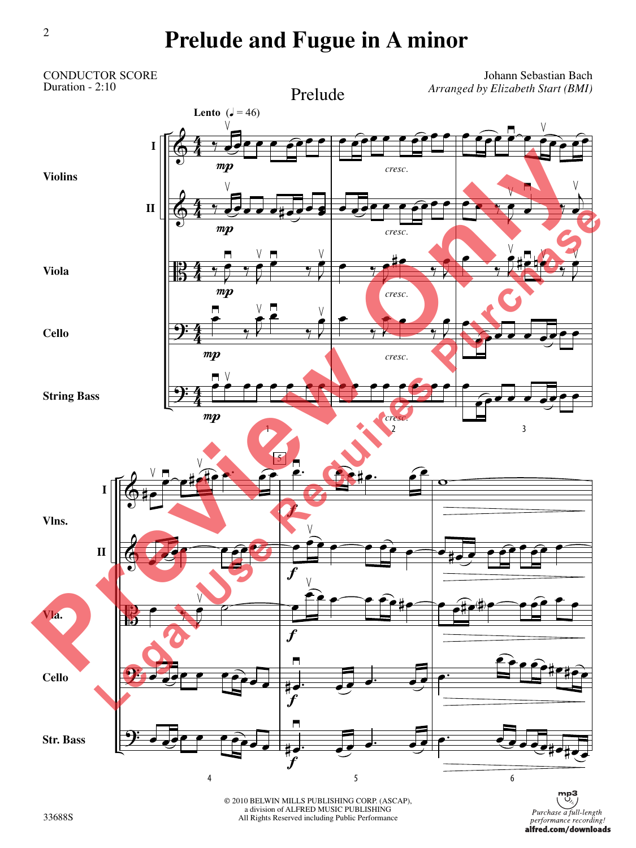## **Prelude and Fugue in A minor**



© 2010 BELWIN MILLS PUBLISHING CORP. (ASCAP), a division of ALFRED MUSIC PUBLISHING All Rights Reserved including Public Performance

Purchase a full-length<br>performance recording!<br>**alfred.com/downloads**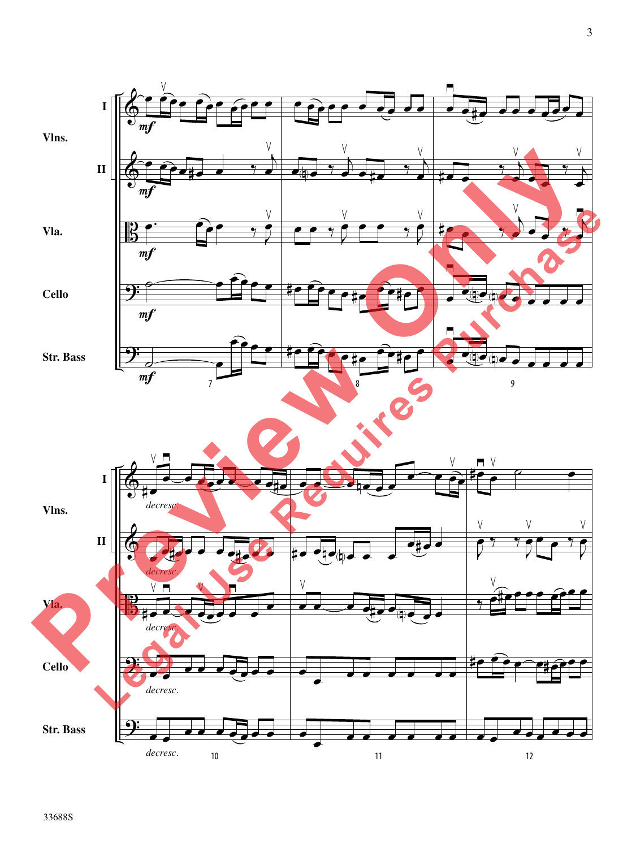

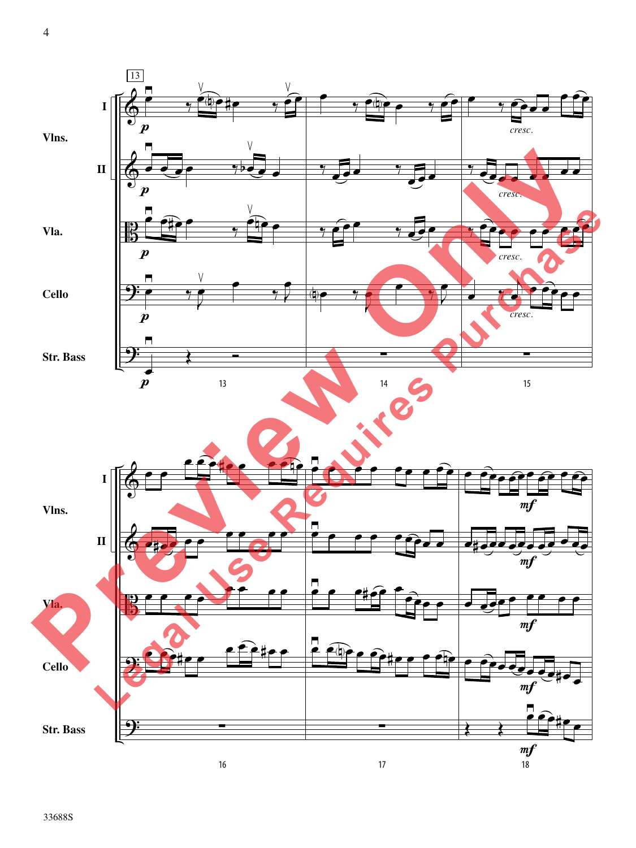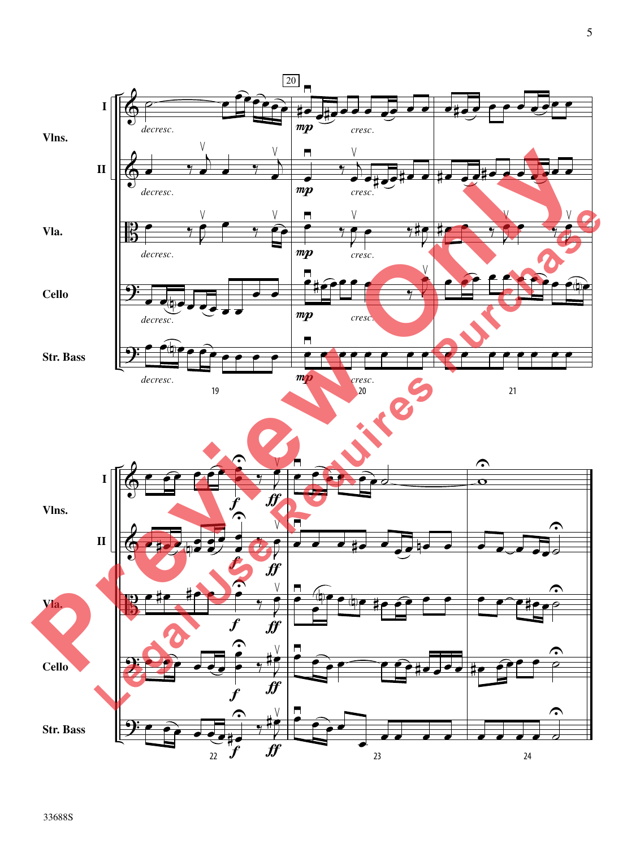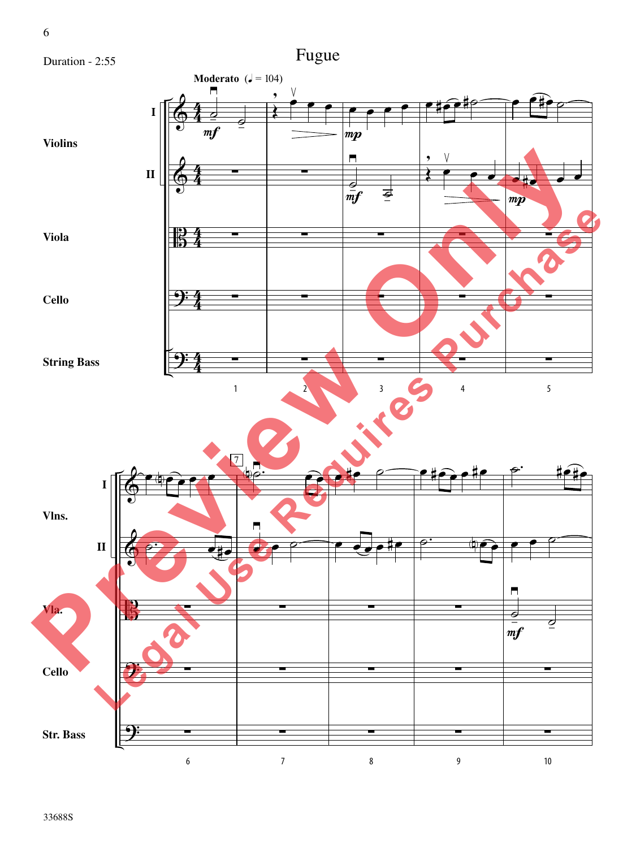

6

7

8

9

10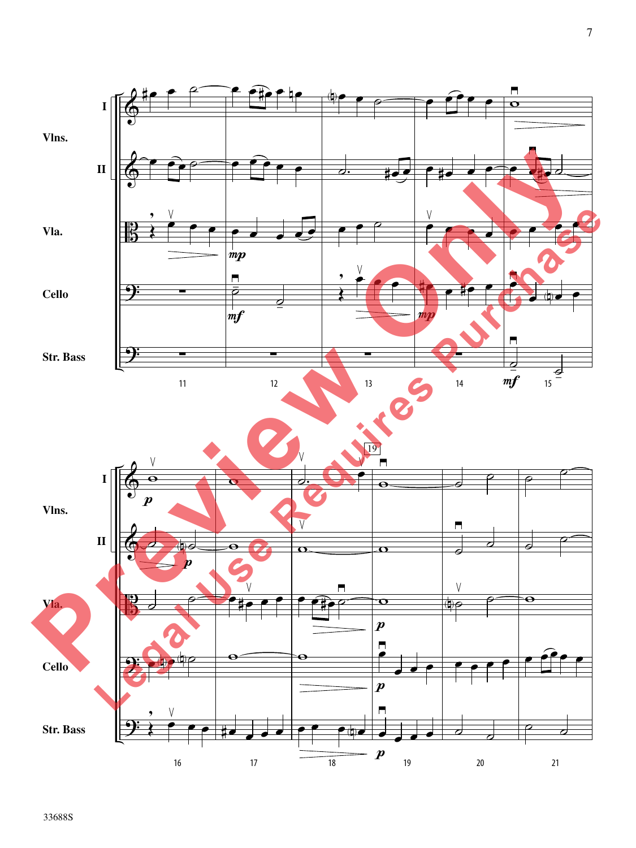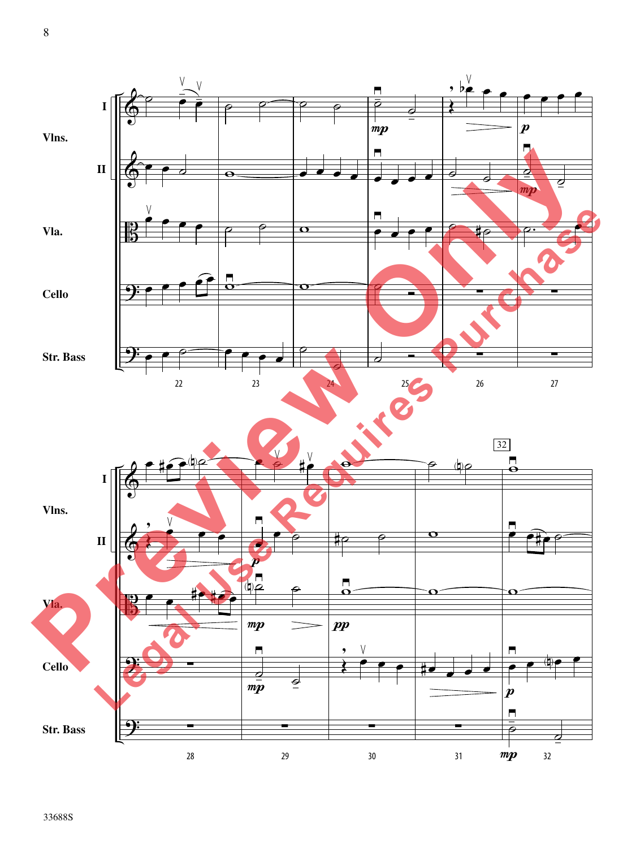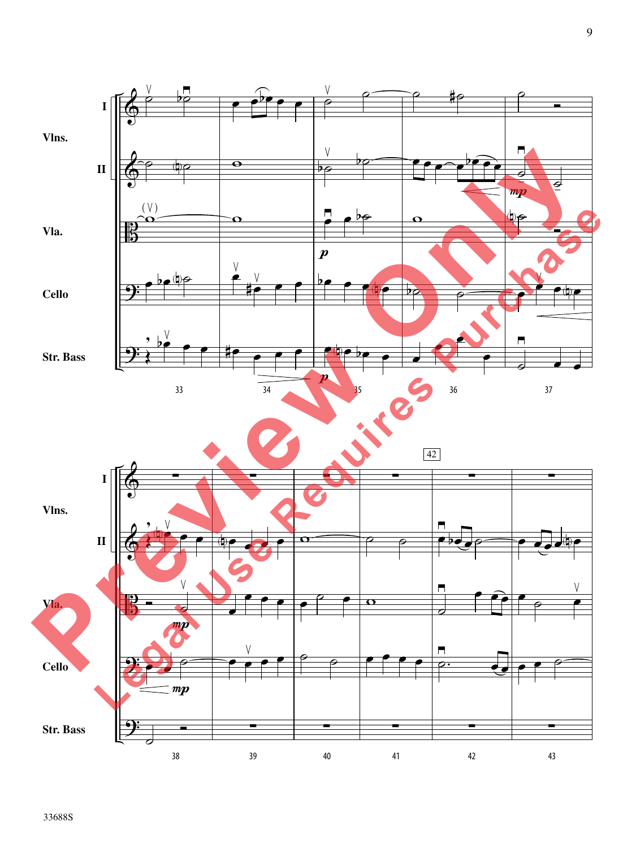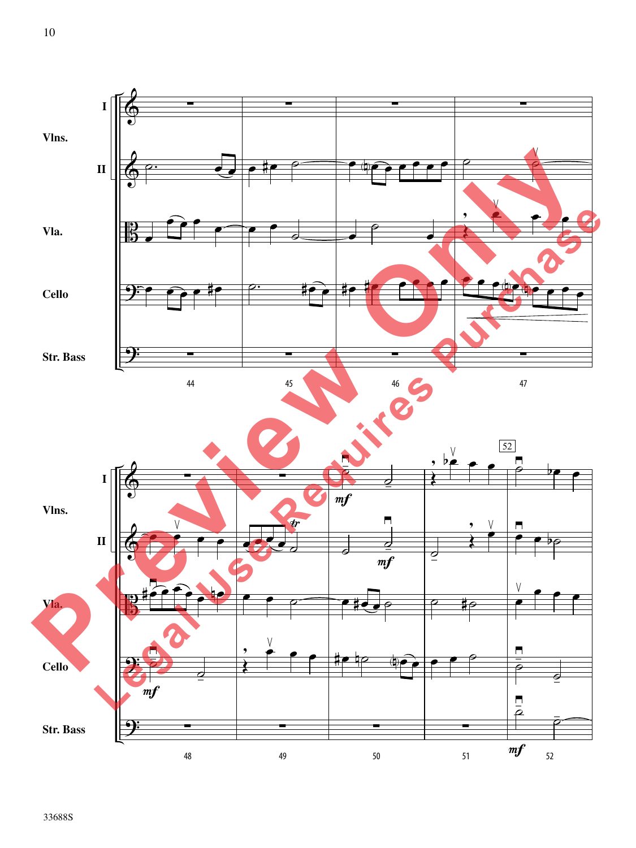![](_page_9_Figure_0.jpeg)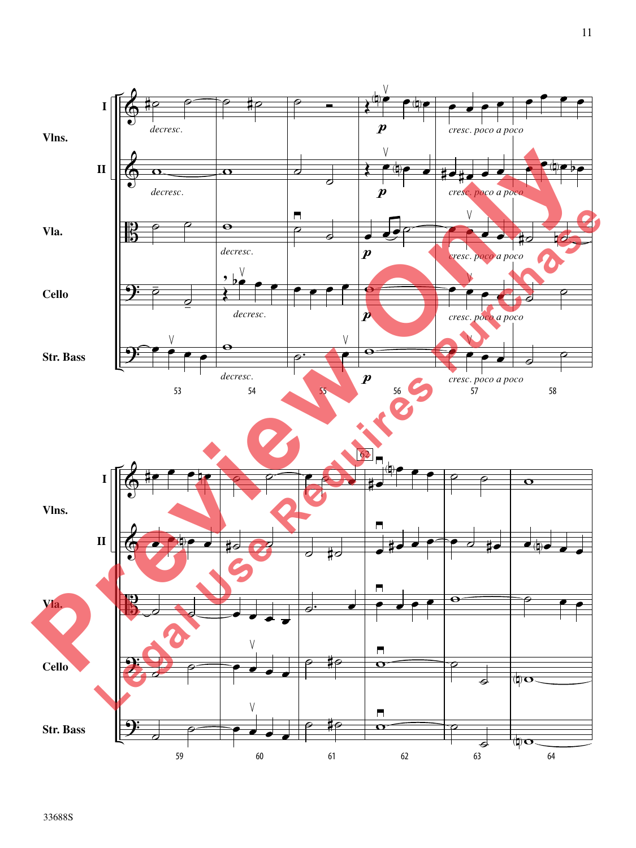![](_page_10_Figure_0.jpeg)